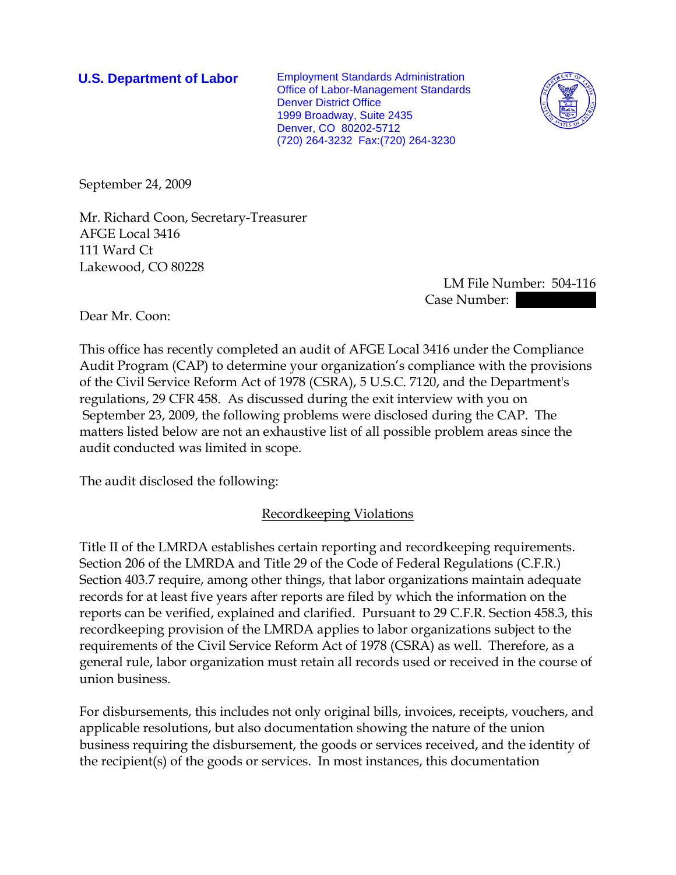**U.S. Department of Labor** Employment Standards Administration Office of Labor-Management Standards Denver District Office 1999 Broadway, Suite 2435 Denver, CO 80202-5712 (720) 264-3232 Fax:(720) 264-3230



September 24, 2009

Mr. Richard Coon, Secretary-Treasurer AFGE Local 3416 111 Ward Ct Lakewood, CO 80228

> LM File Number: 504-116 Case Number:  $\blacksquare$

Dear Mr. Coon:

This office has recently completed an audit of AFGE Local 3416 under the Compliance Audit Program (CAP) to determine your organization's compliance with the provisions of the Civil Service Reform Act of 1978 (CSRA), 5 U.S.C. 7120, and the Department's regulations, 29 CFR 458. As discussed during the exit interview with you on September 23, 2009, the following problems were disclosed during the CAP. The matters listed below are not an exhaustive list of all possible problem areas since the audit conducted was limited in scope.

The audit disclosed the following:

# Recordkeeping Violations

Title II of the LMRDA establishes certain reporting and recordkeeping requirements. Section 206 of the LMRDA and Title 29 of the Code of Federal Regulations (C.F.R.) Section 403.7 require, among other things, that labor organizations maintain adequate records for at least five years after reports are filed by which the information on the reports can be verified, explained and clarified. Pursuant to 29 C.F.R. Section 458.3, this recordkeeping provision of the LMRDA applies to labor organizations subject to the requirements of the Civil Service Reform Act of 1978 (CSRA) as well. Therefore, as a general rule, labor organization must retain all records used or received in the course of union business.

For disbursements, this includes not only original bills, invoices, receipts, vouchers, and applicable resolutions, but also documentation showing the nature of the union business requiring the disbursement, the goods or services received, and the identity of the recipient(s) of the goods or services. In most instances, this documentation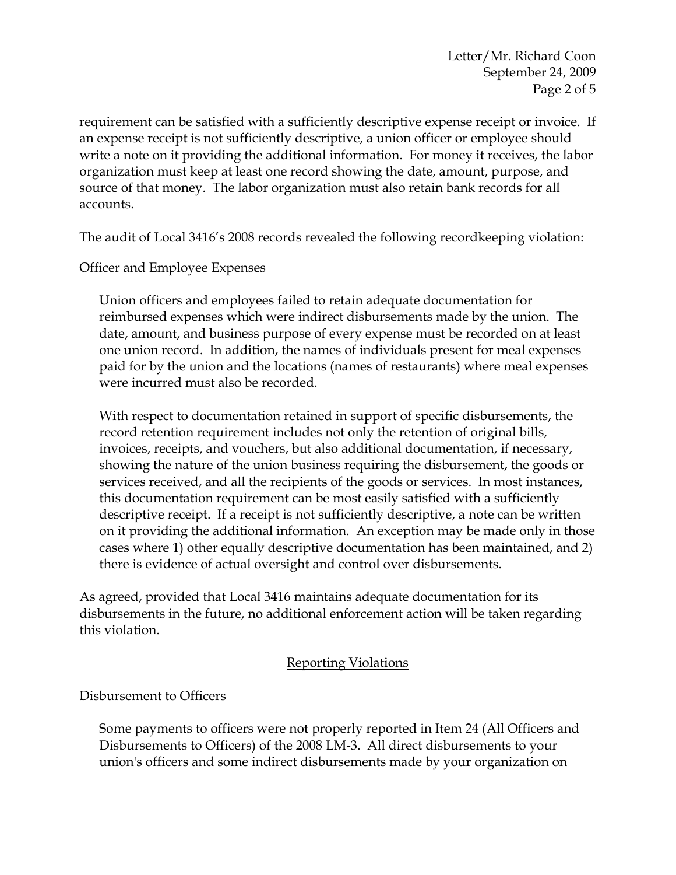Letter/Mr. Richard Coon September 24, 2009 Page 2 of 5

requirement can be satisfied with a sufficiently descriptive expense receipt or invoice. If an expense receipt is not sufficiently descriptive, a union officer or employee should write a note on it providing the additional information. For money it receives, the labor organization must keep at least one record showing the date, amount, purpose, and source of that money. The labor organization must also retain bank records for all accounts.

The audit of Local 3416's 2008 records revealed the following recordkeeping violation:

Officer and Employee Expenses

Union officers and employees failed to retain adequate documentation for reimbursed expenses which were indirect disbursements made by the union. The date, amount, and business purpose of every expense must be recorded on at least one union record. In addition, the names of individuals present for meal expenses paid for by the union and the locations (names of restaurants) where meal expenses were incurred must also be recorded.

With respect to documentation retained in support of specific disbursements, the record retention requirement includes not only the retention of original bills, invoices, receipts, and vouchers, but also additional documentation, if necessary, showing the nature of the union business requiring the disbursement, the goods or services received, and all the recipients of the goods or services. In most instances, this documentation requirement can be most easily satisfied with a sufficiently descriptive receipt. If a receipt is not sufficiently descriptive, a note can be written on it providing the additional information. An exception may be made only in those cases where 1) other equally descriptive documentation has been maintained, and 2) there is evidence of actual oversight and control over disbursements.

As agreed, provided that Local 3416 maintains adequate documentation for its disbursements in the future, no additional enforcement action will be taken regarding this violation.

#### Reporting Violations

Disbursement to Officers

Some payments to officers were not properly reported in Item 24 (All Officers and Disbursements to Officers) of the 2008 LM-3. All direct disbursements to your union's officers and some indirect disbursements made by your organization on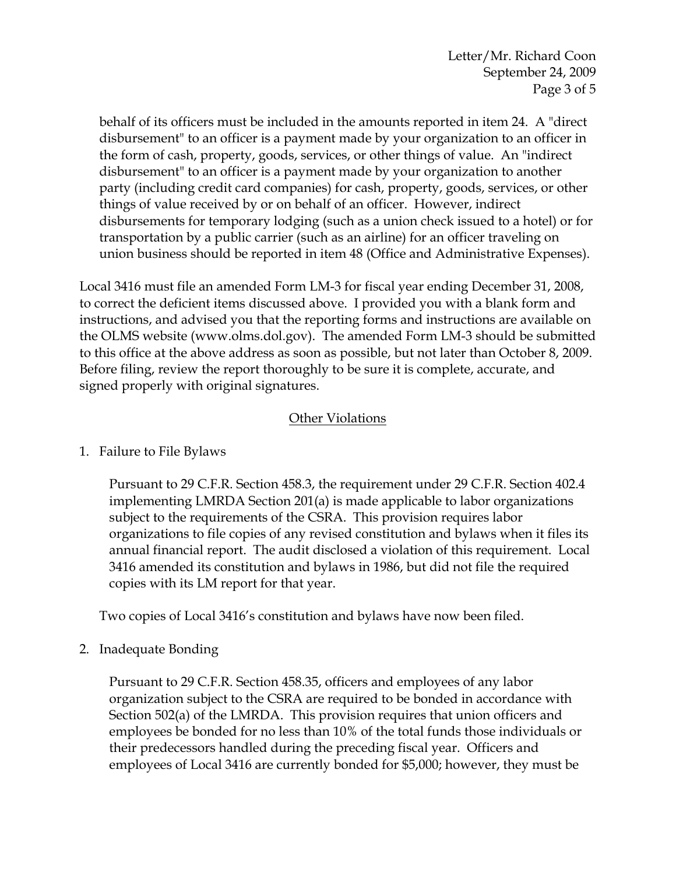behalf of its officers must be included in the amounts reported in item 24. A "direct disbursement" to an officer is a payment made by your organization to an officer in the form of cash, property, goods, services, or other things of value. An "indirect disbursement" to an officer is a payment made by your organization to another party (including credit card companies) for cash, property, goods, services, or other things of value received by or on behalf of an officer. However, indirect disbursements for temporary lodging (such as a union check issued to a hotel) or for transportation by a public carrier (such as an airline) for an officer traveling on union business should be reported in item 48 (Office and Administrative Expenses).

Local 3416 must file an amended Form LM-3 for fiscal year ending December 31, 2008, to correct the deficient items discussed above. I provided you with a blank form and instructions, and advised you that the reporting forms and instructions are available on the OLMS website (www.olms.dol.gov). The amended Form LM-3 should be submitted to this office at the above address as soon as possible, but not later than October 8, 2009. Before filing, review the report thoroughly to be sure it is complete, accurate, and signed properly with original signatures.

# Other Violations

# 1. Failure to File Bylaws

Pursuant to 29 C.F.R. Section 458.3, the requirement under 29 C.F.R. Section 402.4 implementing LMRDA Section 201(a) is made applicable to labor organizations subject to the requirements of the CSRA. This provision requires labor organizations to file copies of any revised constitution and bylaws when it files its annual financial report. The audit disclosed a violation of this requirement. Local 3416 amended its constitution and bylaws in 1986, but did not file the required copies with its LM report for that year.

Two copies of Local 3416's constitution and bylaws have now been filed.

2. Inadequate Bonding

Pursuant to 29 C.F.R. Section 458.35, officers and employees of any labor organization subject to the CSRA are required to be bonded in accordance with Section 502(a) of the LMRDA. This provision requires that union officers and employees be bonded for no less than 10% of the total funds those individuals or their predecessors handled during the preceding fiscal year. Officers and employees of Local 3416 are currently bonded for \$5,000; however, they must be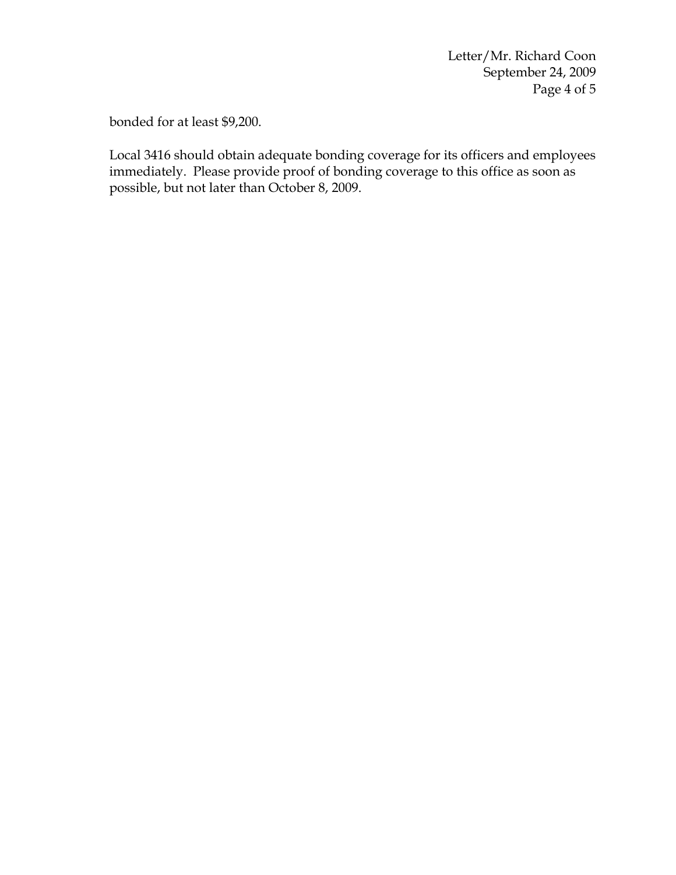Letter/Mr. Richard Coon September 24, 2009 Page 4 of 5

bonded for at least \$9,200.

Local 3416 should obtain adequate bonding coverage for its officers and employees immediately. Please provide proof of bonding coverage to this office as soon as possible, but not later than October 8, 2009.